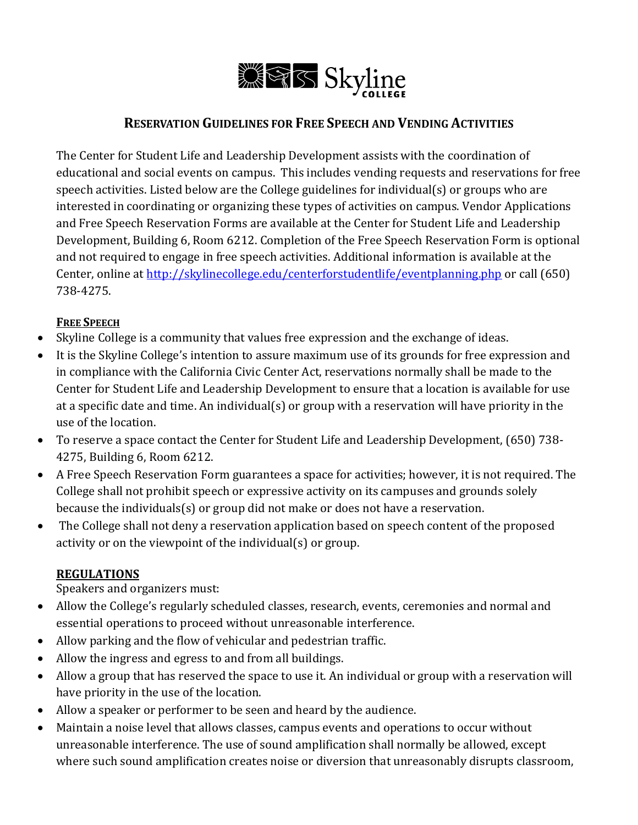

# **RESERVATION GUIDELINES FOR FREE SPEECH AND VENDING ACTIVITIES**

The Center for Student Life and Leadership Development assists with the coordination of educational and social events on campus. This includes vending requests and reservations for free speech activities. Listed below are the College guidelines for individual(s) or groups who are interested in coordinating or organizing these types of activities on campus. Vendor Applications and Free Speech Reservation Forms are available at the Center for Student Life and Leadership Development, Building 6, Room 6212. Completion of the Free Speech Reservation Form is optional and not required to engage in free speech activities. Additional information is available at the Center, online a[t http://skylinecollege.edu/centerforstudentlife/eventplanning.php](http://skylinecollege.edu/centerforstudentlife/eventplanning.php) or call (650) 738-4275.

## **FREE SPEECH**

- Skyline College is a community that values free expression and the exchange of ideas.
- It is the Skyline College's intention to assure maximum use of its grounds for free expression and in compliance with the California Civic Center Act, reservations normally shall be made to the Center for Student Life and Leadership Development to ensure that a location is available for use at a specific date and time. An individual(s) or group with a reservation will have priority in the use of the location.
- To reserve a space contact the Center for Student Life and Leadership Development, (650) 738- 4275, Building 6, Room 6212.
- A Free Speech Reservation Form guarantees a space for activities; however, it is not required. The College shall not prohibit speech or expressive activity on its campuses and grounds solely because the individuals(s) or group did not make or does not have a reservation.
- The College shall not deny a reservation application based on speech content of the proposed activity or on the viewpoint of the individual(s) or group.

#### **REGULATIONS**

Speakers and organizers must:

- Allow the College's regularly scheduled classes, research, events, ceremonies and normal and essential operations to proceed without unreasonable interference.
- Allow parking and the flow of vehicular and pedestrian traffic.
- Allow the ingress and egress to and from all buildings.
- Allow a group that has reserved the space to use it. An individual or group with a reservation will have priority in the use of the location.
- Allow a speaker or performer to be seen and heard by the audience.
- Maintain a noise level that allows classes, campus events and operations to occur without unreasonable interference. The use of sound amplification shall normally be allowed, except where such sound amplification creates noise or diversion that unreasonably disrupts classroom,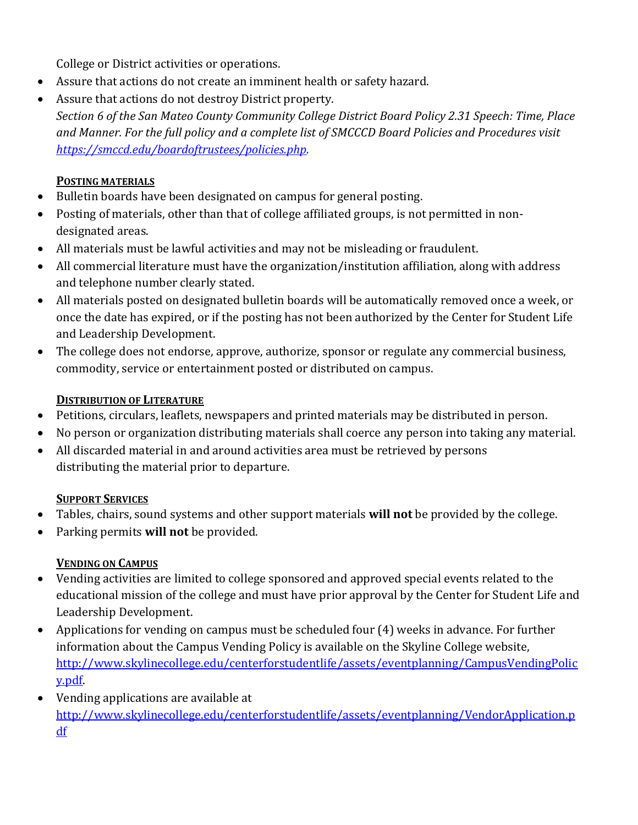College or District activities or operations.

- Assure that actions do not create an imminent health or safety hazard.
- Assure that actions do not destroy District property.

*Section 6 of the San Mateo County Community College District Board Policy 2.31 Speech: Time, Place and Manner. For the full policy and a complete list of SMCCCD Board Policies and Procedures visit [https://smccd.edu/boardoftrustees/policies.php.](https://smccd.edu/boardoftrustees/policies.php)*

# **POSTING MATERIALS**

- Bulletin boards have been designated on campus for general posting.
- Posting of materials, other than that of college affiliated groups, is not permitted in nondesignated areas.
- All materials must be lawful activities and may not be misleading or fraudulent.
- All commercial literature must have the organization/institution affiliation, along with address and telephone number clearly stated.
- All materials posted on designated bulletin boards will be automatically removed once a week, or once the date has expired, or if the posting has not been authorized by the Center for Student Life and Leadership Development.
- The college does not endorse, approve, authorize, sponsor or regulate any commercial business, commodity, service or entertainment posted or distributed on campus.

## **DISTRIBUTION OF LITERATURE**

- Petitions, circulars, leaflets, newspapers and printed materials may be distributed in person.
- No person or organization distributing materials shall coerce any person into taking any material.
- All discarded material in and around activities area must be retrieved by persons distributing the material prior to departure.

## **SUPPORT SERVICES**

- Tables, chairs, sound systems and other support materials **will not** be provided by the college.
- Parking permits **will not** be provided.

# **VENDING ON CAMPUS**

- Vending activities are limited to college sponsored and approved special events related to the educational mission of the college and must have prior approval by the Center for Student Life and Leadership Development.
- Applications for vending on campus must be scheduled four (4) weeks in advance. For further information about the Campus Vending Policy is available on the Skyline College website, [http://www.skylinecollege.edu/centerforstudentlife/assets/eventplanning/CampusVendingPolic](http://www.skylinecollege.edu/centerforstudentlife/assets/eventplanning/CampusVendingPolicy.pdf) [y.pdf.](http://www.skylinecollege.edu/centerforstudentlife/assets/eventplanning/CampusVendingPolicy.pdf)
- Vending applications are available at [http://www.skylinecollege.edu/centerforstudentlife/assets/eventplanning/VendorApplication.p](http://www.skylinecollege.edu/centerforstudentlife/assets/eventplanning/VendorApplication.pdf) [df](http://www.skylinecollege.edu/centerforstudentlife/assets/eventplanning/VendorApplication.pdf)